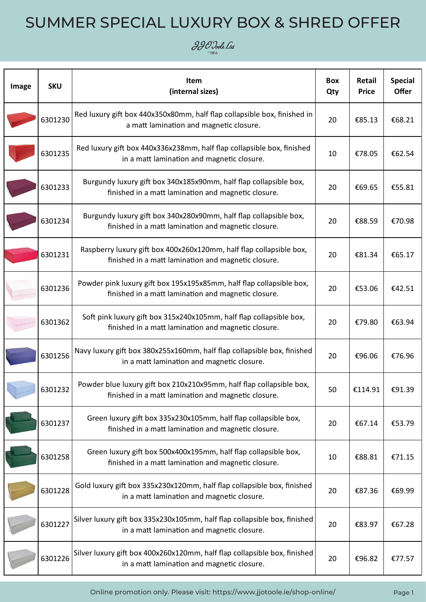#### $\partial \partial \mathcal{O}$  Joole Ltd

| Image | <b>SKU</b> | Item<br>(internal sizes)                                                                                                    | <b>Box</b><br>Qty | Retail<br><b>Price</b> | <b>Special</b><br><b>Offer</b> |
|-------|------------|-----------------------------------------------------------------------------------------------------------------------------|-------------------|------------------------|--------------------------------|
|       | 6301230    | Red luxury gift box 440x350x80mm, half flap collapsible box, finished in<br>a matt lamination and magnetic closure.         | 20                | €85.13                 | €68.21                         |
|       | 6301235    | Red luxury gift box 440x336x238mm, half flap collapsible box, finished<br>in a matt lamination and magnetic closure.        | 10                | €78.05                 | €62.54                         |
|       | 6301233    | Burgundy luxury gift box 340x185x90mm, half flap collapsible box,<br>finished in a matt lamination and magnetic closure.    | 20                | €69.65                 | €55.81                         |
|       | 6301234    | Burgundy luxury gift box 340x280x90mm, half flap collapsible box,<br>finished in a matt lamination and magnetic closure.    | 20                | €88.59                 | €70.98                         |
|       | 6301231    | Raspberry luxury gift box 400x260x120mm, half flap collapsible box,<br>finished in a matt lamination and magnetic closure.  | 20                | €81.34                 | €65.17                         |
|       | 6301236    | Powder pink luxury gift box 195x195x85mm, half flap collapsible box,<br>finished in a matt lamination and magnetic closure. | 20                | €53.06                 | €42.51                         |
|       | 6301362    | Soft pink luxury gift box 315x240x105mm, half flap collapsible box,<br>finished in a matt lamination and magnetic closure.  | 20                | €79.80                 | €63.94                         |
|       | 6301256    | Navy luxury gift box 380x255x160mm, half flap collapsible box, finished<br>in a matt lamination and magnetic closure.       | 20                | €96.06                 | €76.96                         |
|       | 6301232    | Powder blue luxury gift box 210x210x95mm, half flap collapsible box,<br>finished in a matt lamination and magnetic closure. | 50                | €114.91                | €91.39                         |
|       | 6301237    | Green luxury gift box 335x230x105mm, half flap collapsible box,<br>finished in a matt lamination and magnetic closure.      | 20                | €67.14                 | €53.79                         |
|       | 6301258    | Green luxury gift box 500x400x195mm, half flap collapsible box,<br>finished in a matt lamination and magnetic closure.      | 10                | €88.81                 | €71.15                         |
|       | 6301228    | Gold luxury gift box 335x230x120mm, half flap collapsible box, finished<br>in a matt lamination and magnetic closure.       | 20                | €87.36                 | €69.99                         |
|       | 6301227    | Silver luxury gift box 335x230x105mm, half flap collapsible box, finished<br>in a matt lamination and magnetic closure.     | 20                | €83.97                 | €67.28                         |
|       | 6301226    | Silver luxury gift box 400x260x120mm, half flap collapsible box, finished<br>in a matt lamination and magnetic closure.     | 20                | €96.82                 | €77.57                         |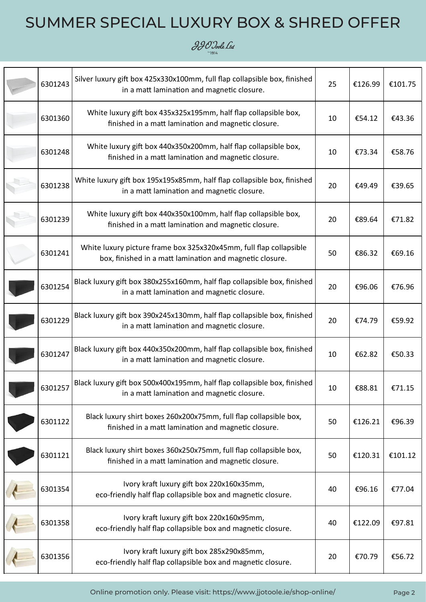

| 6301243 | Silver luxury gift box 425x330x100mm, full flap collapsible box, finished<br>in a matt lamination and magnetic closure.        | 25 | €126.99 | €101.75 |
|---------|--------------------------------------------------------------------------------------------------------------------------------|----|---------|---------|
| 6301360 | White luxury gift box 435x325x195mm, half flap collapsible box,<br>finished in a matt lamination and magnetic closure.         | 10 | €54.12  | €43.36  |
| 6301248 | White luxury gift box 440x350x200mm, half flap collapsible box,<br>finished in a matt lamination and magnetic closure.         | 10 | €73.34  | €58.76  |
| 6301238 | White luxury gift box 195x195x85mm, half flap collapsible box, finished<br>in a matt lamination and magnetic closure.          | 20 | €49.49  | €39.65  |
| 6301239 | White luxury gift box 440x350x100mm, half flap collapsible box,<br>finished in a matt lamination and magnetic closure.         | 20 | €89.64  | €71.82  |
| 6301241 | White luxury picture frame box 325x320x45mm, full flap collapsible<br>box, finished in a matt lamination and magnetic closure. | 50 | €86.32  | €69.16  |
| 6301254 | Black luxury gift box 380x255x160mm, half flap collapsible box, finished<br>in a matt lamination and magnetic closure.         | 20 | €96.06  | €76.96  |
| 6301229 | Black luxury gift box 390x245x130mm, half flap collapsible box, finished<br>in a matt lamination and magnetic closure.         | 20 | €74.79  | €59.92  |
| 6301247 | Black luxury gift box 440x350x200mm, half flap collapsible box, finished<br>in a matt lamination and magnetic closure.         | 10 | €62.82  | €50.33  |
| 6301257 | Black luxury gift box 500x400x195mm, half flap collapsible box, finished<br>in a matt lamination and magnetic closure.         | 10 | €88.81  | €71.15  |
| 6301122 | Black luxury shirt boxes 260x200x75mm, full flap collapsible box,<br>finished in a matt lamination and magnetic closure.       | 50 | €126.21 | €96.39  |
| 6301121 | Black luxury shirt boxes 360x250x75mm, full flap collapsible box,<br>finished in a matt lamination and magnetic closure.       | 50 | €120.31 | €101.12 |
| 6301354 | Ivory kraft luxury gift box 220x160x35mm,<br>eco-friendly half flap collapsible box and magnetic closure.                      | 40 | €96.16  | €77.04  |
| 6301358 | Ivory kraft luxury gift box 220x160x95mm,<br>eco-friendly half flap collapsible box and magnetic closure.                      | 40 | €122.09 | €97.81  |
| 6301356 | Ivory kraft luxury gift box 285x290x85mm,<br>eco-friendly half flap collapsible box and magnetic closure.                      | 20 | €70.79  | €56.72  |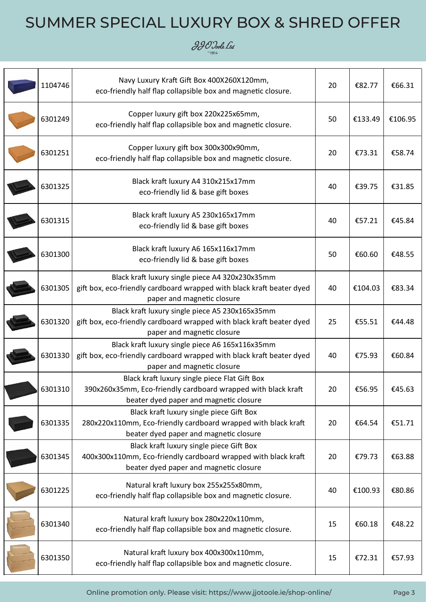

| 1104746 | Navy Luxury Kraft Gift Box 400X260X120mm,<br>eco-friendly half flap collapsible box and magnetic closure.                                                | 20 | €82.77  | €66.31  |
|---------|----------------------------------------------------------------------------------------------------------------------------------------------------------|----|---------|---------|
| 6301249 | Copper luxury gift box 220x225x65mm,<br>eco-friendly half flap collapsible box and magnetic closure.                                                     | 50 | €133.49 | €106.95 |
| 6301251 | Copper luxury gift box 300x300x90mm,<br>eco-friendly half flap collapsible box and magnetic closure.                                                     | 20 | €73.31  | €58.74  |
| 6301325 | Black kraft luxury A4 310x215x17mm<br>eco-friendly lid & base gift boxes                                                                                 | 40 | €39.75  | €31.85  |
| 6301315 | Black kraft luxury A5 230x165x17mm<br>eco-friendly lid & base gift boxes                                                                                 | 40 | €57.21  | €45.84  |
| 6301300 | Black kraft luxury A6 165x116x17mm<br>eco-friendly lid & base gift boxes                                                                                 | 50 | €60.60  | €48.55  |
| 6301305 | Black kraft luxury single piece A4 320x230x35mm<br>gift box, eco-friendly cardboard wrapped with black kraft beater dyed<br>paper and magnetic closure   | 40 | €104.03 | €83.34  |
| 6301320 | Black kraft luxury single piece A5 230x165x35mm<br>gift box, eco-friendly cardboard wrapped with black kraft beater dyed<br>paper and magnetic closure   | 25 | €55.51  | €44.48  |
| 6301330 | Black kraft luxury single piece A6 165x116x35mm<br>gift box, eco-friendly cardboard wrapped with black kraft beater dyed<br>paper and magnetic closure   | 40 | €75.93  | €60.84  |
| 6301310 | Black kraft luxury single piece Flat Gift Box<br>390x260x35mm, Eco-friendly cardboard wrapped with black kraft<br>beater dyed paper and magnetic closure | 20 | €56.95  | €45.63  |
| 6301335 | Black kraft luxury single piece Gift Box<br>280x220x110mm, Eco-friendly cardboard wrapped with black kraft<br>beater dyed paper and magnetic closure     | 20 | €64.54  | €51.71  |
| 6301345 | Black kraft luxury single piece Gift Box<br>400x300x110mm, Eco-friendly cardboard wrapped with black kraft<br>beater dyed paper and magnetic closure     | 20 | €79.73  | €63.88  |
| 6301225 | Natural kraft luxury box 255x255x80mm,<br>eco-friendly half flap collapsible box and magnetic closure.                                                   | 40 | €100.93 | €80.86  |
| 6301340 | Natural kraft luxury box 280x220x110mm,<br>eco-friendly half flap collapsible box and magnetic closure.                                                  | 15 | €60.18  | €48.22  |
| 6301350 | Natural kraft luxury box 400x300x110mm,<br>eco-friendly half flap collapsible box and magnetic closure.                                                  | 15 | €72.31  | €57.93  |

Online promotion only. Please visit: https://www.jjotoole.ie/shop-online/